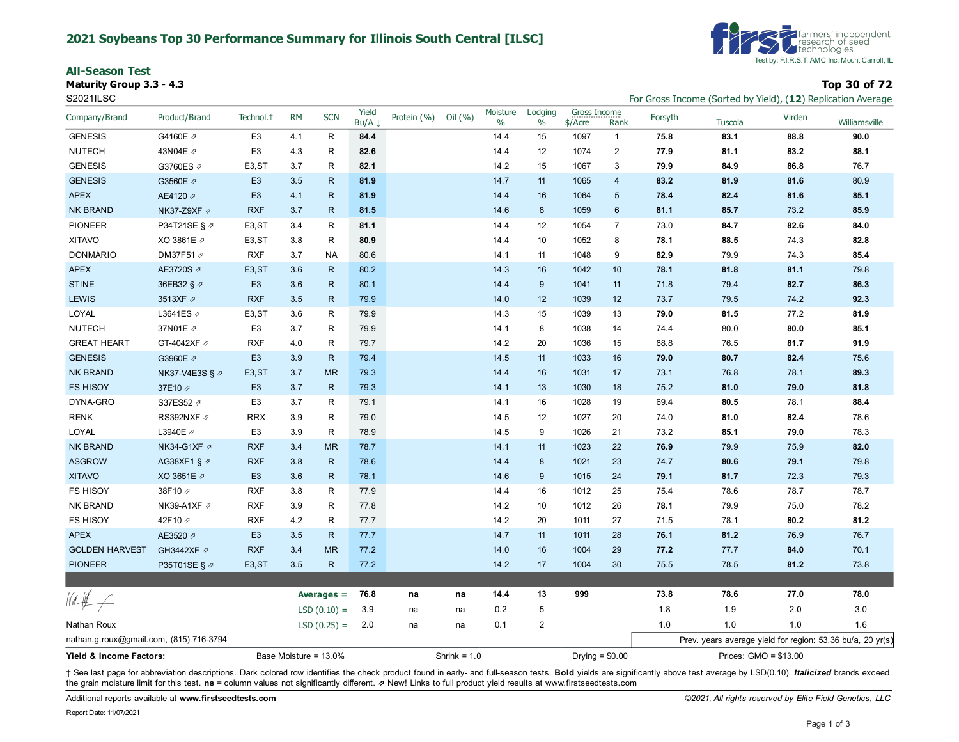#### **2021 Soybeans Top 30 Performance Summary for Illinois South Central [ILSC]**

**All-Season Test**

**Maturity Group 3.3 - 4.3 Top 30 of 72**



S2021ILSC For Gross Income (Sorted by Yield), (**12**) Replication Average

|                                         |                         |                       |           |               | Yield    |                |         | Moisture | Lodging          | Gross Income |                |                       |         |        |                                                            |
|-----------------------------------------|-------------------------|-----------------------|-----------|---------------|----------|----------------|---------|----------|------------------|--------------|----------------|-----------------------|---------|--------|------------------------------------------------------------|
| Company/Brand                           | Product/Brand           | Technol. <sup>+</sup> | <b>RM</b> | <b>SCN</b>    | $Bu/A$ . | Protein (%)    | Oil (%) | $\%$     | $\%$             | $$/$ Acre    | Rank           | Forsyth               | Tuscola | Virden | Williamsville                                              |
| <b>GENESIS</b>                          | G4160E /                | E <sub>3</sub>        | 4.1       | $\mathsf{R}$  | 84.4     |                |         | 14.4     | 15               | 1097         | $\mathbf{1}$   | 75.8                  | 83.1    | 88.8   | 90.0                                                       |
| <b>NUTECH</b>                           | 43N04E 2                | E <sub>3</sub>        | 4.3       | R             | 82.6     |                |         | 14.4     | 12               | 1074         | $\overline{2}$ | 77.9                  | 81.1    | 83.2   | 88.1                                                       |
| <b>GENESIS</b>                          | G3760ES 2               | E <sub>3</sub> , ST   | 3.7       | R             | 82.1     |                |         | 14.2     | 15               | 1067         | 3              | 79.9                  | 84.9    | 86.8   | 76.7                                                       |
| <b>GENESIS</b>                          | G3560E 2                | E <sub>3</sub>        | 3.5       | R             | 81.9     |                |         | 14.7     | 11               | 1065         | $\overline{4}$ | 83.2                  | 81.9    | 81.6   | 80.9                                                       |
| <b>APEX</b>                             | AE4120 2                | E <sub>3</sub>        | 4.1       | $\mathsf{R}$  | 81.9     |                |         | 14.4     | 16               | 1064         | 5              | 78.4                  | 82.4    | 81.6   | 85.1                                                       |
| NK BRAND                                | NK37-Z9XF Ø             | <b>RXF</b>            | 3.7       | R             | 81.5     |                |         | 14.6     | 8                | 1059         | 6              | 81.1                  | 85.7    | 73.2   | 85.9                                                       |
| <b>PIONEER</b>                          | P34T21SE § ⊉            | E <sub>3</sub> , ST   | 3.4       | R             | 81.1     |                |         | 14.4     | 12               | 1054         | $\overline{7}$ | 73.0                  | 84.7    | 82.6   | 84.0                                                       |
| <b>XITAVO</b>                           | XO 3861E 2              | E <sub>3</sub> , ST   | 3.8       | R             | 80.9     |                |         | 14.4     | 10               | 1052         | 8              | 78.1                  | 88.5    | 74.3   | 82.8                                                       |
| <b>DONMARIO</b>                         | DM37F51 2               | <b>RXF</b>            | 3.7       | NA            | 80.6     |                |         | 14.1     | 11               | 1048         | 9              | 82.9                  | 79.9    | 74.3   | 85.4                                                       |
| <b>APEX</b>                             | AE3720S 2               | E <sub>3</sub> , ST   | 3.6       | $\mathsf{R}$  | 80.2     |                |         | 14.3     | 16               | 1042         | 10             | 78.1                  | 81.8    | 81.1   | 79.8                                                       |
| <b>STINE</b>                            | 36EB32 § 2              | E <sub>3</sub>        | 3.6       | $\mathsf{R}$  | 80.1     |                |         | 14.4     | 9                | 1041         | 11             | 71.8                  | 79.4    | 82.7   | 86.3                                                       |
| <b>LEWIS</b>                            | 3513XF 2                | <b>RXF</b>            | 3.5       | $\mathsf{R}$  | 79.9     |                |         | 14.0     | 12               | 1039         | 12             | 73.7                  | 79.5    | 74.2   | 92.3                                                       |
| LOYAL                                   | L3641ES 2               | E <sub>3</sub> , ST   | 3.6       | R             | 79.9     |                |         | 14.3     | 15               | 1039         | 13             | 79.0                  | 81.5    | 77.2   | 81.9                                                       |
| <b>NUTECH</b>                           | 37N01E 2                | E <sub>3</sub>        | 3.7       | $\mathsf{R}$  | 79.9     |                |         | 14.1     | 8                | 1038         | 14             | 74.4                  | 80.0    | 80.0   | 85.1                                                       |
| <b>GREAT HEART</b>                      | GT-4042XF 2             | <b>RXF</b>            | 4.0       | $\mathsf R$   | 79.7     |                |         | 14.2     | 20               | 1036         | 15             | 68.8                  | 76.5    | 81.7   | 91.9                                                       |
| <b>GENESIS</b>                          | G3960E 2                | E <sub>3</sub>        | 3.9       | $\mathsf{R}$  | 79.4     |                |         | 14.5     | 11               | 1033         | 16             | 79.0                  | 80.7    | 82.4   | 75.6                                                       |
| <b>NK BRAND</b>                         | NK37-V4E3S § ク          | E <sub>3</sub> , ST   | 3.7       | <b>MR</b>     | 79.3     |                |         | 14.4     | 16               | 1031         | 17             | 73.1                  | 76.8    | 78.1   | 89.3                                                       |
| <b>FS HISOY</b>                         | 37E10 A                 | E <sub>3</sub>        | 3.7       | $\mathsf{R}$  | 79.3     |                |         | 14.1     | 13               | 1030         | 18             | 75.2                  | 81.0    | 79.0   | 81.8                                                       |
| DYNA-GRO                                | S37ES52 2               | E <sub>3</sub>        | 3.7       | $\mathsf{R}$  | 79.1     |                |         | 14.1     | 16               | 1028         | 19             | 69.4                  | 80.5    | 78.1   | 88.4                                                       |
| <b>RENK</b>                             | RS392NXF 2              | <b>RRX</b>            | 3.9       | R             | 79.0     |                |         | 14.5     | 12               | 1027         | 20             | 74.0                  | 81.0    | 82.4   | 78.6                                                       |
| LOYAL                                   | L3940E 2                | E <sub>3</sub>        | 3.9       | R             | 78.9     |                |         | 14.5     | 9                | 1026         | 21             | 73.2                  | 85.1    | 79.0   | 78.3                                                       |
| <b>NK BRAND</b>                         | NK34-G1XF ⊉             | <b>RXF</b>            | 3.4       | <b>MR</b>     | 78.7     |                |         | 14.1     | 11               | 1023         | 22             | 76.9                  | 79.9    | 75.9   | 82.0                                                       |
| <b>ASGROW</b>                           | AG38XF1 § $\varnothing$ | <b>RXF</b>            | 3.8       | $\mathsf{R}$  | 78.6     |                |         | 14.4     | 8                | 1021         | 23             | 74.7                  | 80.6    | 79.1   | 79.8                                                       |
| <b>XITAVO</b>                           | XO 3651E ク              | E <sub>3</sub>        | 3.6       | ${\sf R}$     | 78.1     |                |         | 14.6     | 9                | 1015         | 24             | 79.1                  | 81.7    | 72.3   | 79.3                                                       |
| <b>FS HISOY</b>                         | 38F10 2                 | <b>RXF</b>            | 3.8       | $\mathsf R$   | 77.9     |                |         | 14.4     | 16               | 1012         | 25             | 75.4                  | 78.6    | 78.7   | 78.7                                                       |
| <b>NK BRAND</b>                         | NK39-A1XF 2             | <b>RXF</b>            | 3.9       | $\mathsf{R}$  | 77.8     |                |         | 14.2     | 10               | 1012         | 26             | 78.1                  | 79.9    | 75.0   | 78.2                                                       |
| <b>FS HISOY</b>                         | 42F10 A                 | <b>RXF</b>            | 4.2       | R             | 77.7     |                |         | 14.2     | 20               | 1011         | 27             | 71.5                  | 78.1    | 80.2   | 81.2                                                       |
| <b>APEX</b>                             | AE3520 2                | E <sub>3</sub>        | 3.5       | $\mathsf{R}$  | 77.7     |                |         | 14.7     | 11               | 1011         | 28             | 76.1                  | 81.2    | 76.9   | 76.7                                                       |
| <b>GOLDEN HARVEST</b>                   | GH3442XF 2              | <b>RXF</b>            | 3.4       | <b>MR</b>     | 77.2     |                |         | 14.0     | 16               | 1004         | 29             | 77.2                  | 77.7    | 84.0   | 70.1                                                       |
| <b>PIONEER</b>                          | P35T01SE § ク            | E <sub>3</sub> , ST   | 3.5       | $\mathsf{R}$  | 77.2     |                |         | 14.2     | 17               | 1004         | 30             | 75.5                  | 78.5    | 81.2   | 73.8                                                       |
|                                         |                         |                       |           |               |          |                |         |          |                  |              |                |                       |         |        |                                                            |
|                                         |                         |                       |           | Averages $=$  | 76.8     | na             | na      | 14.4     | 13               | 999          |                | 73.8                  | 78.6    | 77.0   | 78.0                                                       |
|                                         |                         |                       |           | $LSD(0.10) =$ | 3.9      | na             | na      | 0.2      | 5                |              |                | 1.8                   | 1.9     | 2.0    | 3.0                                                        |
| Nathan Roux                             |                         |                       |           | $LSD(0.25) =$ | 2.0      | na             | na      | 0.1      | $\boldsymbol{2}$ |              |                | 1.0                   | 1.0     | 1.0    | 1.6                                                        |
| nathan.g.roux@gmail.com, (815) 716-3794 |                         |                       |           |               |          |                |         |          |                  |              |                |                       |         |        | Prev. years average yield for region: 53.36 bu/a, 20 yr(s) |
| Yield & Income Factors:                 | Base Moisture = 13.0%   |                       |           |               |          | Shrink = $1.0$ |         |          | Drying = $$0.00$ |              |                | Prices: GMO = \$13.00 |         |        |                                                            |

+ See last page for abbreviation descriptions. Dark colored row identifies the check product found in early- and full-season tests. Bold yields are significantly above test average by LSD(0.10). Italicized brands exceed the grain moisture limit for this test. **ns** = column values not significantly different. ⇗ New! Links to full product yield results at www.firstseedtests.com

Report Date: 11/07/2021

Additional reports available at **[www.firstseedtests.com](https://www.firstseedtests.com)** *©2021, All rights reserved by Elite Field Genetics, LLC*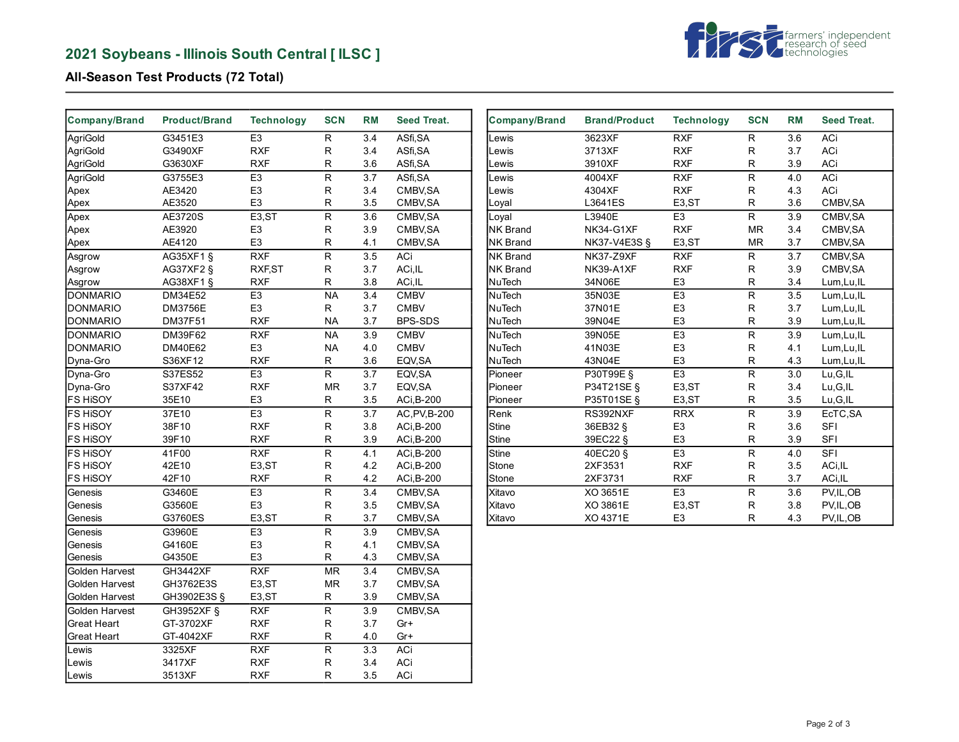# **2021 Soybeans - Illinois South Central [ ILSC ]**



## **All-Season Test Products (72 Total)**

| <b>Company/Brand</b> | <b>Product/Brand</b>    | <b>Technology</b> | <b>SCN</b>               | <b>RM</b>        | Seed Treat.    | <b>Company/Brand</b> | <b>Brand/Product</b> | <b>Technology</b> | <b>SCN</b>              | <b>RM</b>        | Seed Treat. |
|----------------------|-------------------------|-------------------|--------------------------|------------------|----------------|----------------------|----------------------|-------------------|-------------------------|------------------|-------------|
| AgriGold             | G3451E3                 | E <sub>3</sub>    | ${\sf R}$                | 3.4              | ASfi, SA       | _ewis                | 3623XF               | RXF               | R                       | 3.6              | ACi         |
| AgriGold             | G3490XF                 | <b>RXF</b>        | R                        | 3.4              | ASfi, SA       | Lewis                | 3713XF               | <b>RXF</b>        | R                       | 3.7              | ACi         |
| AgriGold             | G3630XF                 | <b>RXF</b>        | R                        | 3.6              | ASfi, SA       | ∟ewis                | 3910XF               | <b>RXF</b>        | R                       | 3.9              | ACi         |
| AgriGold             | G3755E3                 | E <sub>3</sub>    | $\mathsf R$              | 3.7              | ASfi, SA       | _ewis                | 4004XF               | RXF               | R                       | 4.0              | ACi         |
| Apex                 | AE3420                  | E <sub>3</sub>    | R                        | 3.4              | CMBV, SA       | Lewis                | 4304XF               | <b>RXF</b>        | R                       | 4.3              | ACi         |
| Apex                 | AE3520                  | E <sub>3</sub>    | $\mathsf R$              | 3.5              | CMBV, SA       | Loyal                | L3641ES              | E3,ST             | R                       | 3.6              | CMBV, SA    |
| Apex                 | AE3720S                 | E3,ST             | ${\sf R}$                | 3.6              | CMBV, SA       | Loyal                | L3940E               | E3                | R                       | 3.9              | CMBV, SA    |
| Apex                 | AE3920                  | E <sub>3</sub>    | R                        | 3.9              | CMBV, SA       | <b>NK Brand</b>      | NK34-G1XF            | <b>RXF</b>        | MR                      | 3.4              | CMBV, SA    |
| Apex                 | AE4120                  | E <sub>3</sub>    | $\mathsf{R}$             | 4.1              | CMBV, SA       | <b>NK Brand</b>      | NK37-V4E3S §         | E3,ST             | <b>MR</b>               | 3.7              | CMBV, SA    |
| Asgrow               | AG35XF1 §               | RXF               | R                        | 3.5              | <b>ACi</b>     | <b>NK Brand</b>      | NK37-Z9XF            | RXF               | R                       | $\overline{3.7}$ | CMBV, SA    |
| Asgrow               | $AG37XF2$ §             | RXF, ST           | ${\sf R}$                | 3.7              | ACi, IL        | NK Brand             | NK39-A1XF            | <b>RXF</b>        | R                       | 3.9              | CMBV, SA    |
| Asgrow               | AG38XF1 §               | <b>RXF</b>        | ${\sf R}$                | 3.8              | ACi, IL        | <b>NuTech</b>        | 34N06E               | E <sub>3</sub>    | R                       | 3.4              | Lum, Lu, IL |
| DONMARIO             | DM34E52                 | E <sub>3</sub>    | <b>NA</b>                | 3.4              | <b>CMBV</b>    | <b>NuTech</b>        | 35N03E               | E3                | $\overline{\mathsf{R}}$ | 3.5              | Lum, Lu, IL |
| DONMARIO             | <b>DM3756E</b>          | E <sub>3</sub>    | R                        | 3.7              | <b>CMBV</b>    | NuTech               | 37N01E               | E <sub>3</sub>    | R                       | 3.7              | Lum, Lu, IL |
| DONMARIO             | <b>DM37F51</b>          | <b>RXF</b>        | <b>NA</b>                | 3.7              | <b>BPS-SDS</b> | <b>NuTech</b>        | 39N04E               | E <sub>3</sub>    | R                       | 3.9              | Lum, Lu, IL |
| DONMARIO             | DM39F62                 | RXF               | <b>NA</b>                | 3.9              | <b>CMBV</b>    | <b>NuTech</b>        | 39N05E               | E3                | R                       | 3.9              | Lum, Lu, IL |
| <b>DONMARIO</b>      | DM40E62                 | E <sub>3</sub>    | <b>NA</b>                | 4.0              | <b>CMBV</b>    | <b>NuTech</b>        | 41N03E               | E <sub>3</sub>    | R                       | 4.1              | Lum, Lu, IL |
| Dyna-Gro             | S36XF12                 | <b>RXF</b>        | R                        | 3.6              | EQV, SA        | NuTech               | 43N04E               | E <sub>3</sub>    | R                       | 4.3              | Lum, Lu, IL |
| Dyna-Gro             | S37ES52                 | E3                | R                        | $\overline{3.7}$ | EQV, SA        | Pioneer              | P30T99E §            | E3                | $\overline{\mathsf{R}}$ | 3.0              | Lu,G,IL     |
| Dyna-Gro             | S37XF42                 | <b>RXF</b>        | <b>MR</b>                | 3.7              | EQV, SA        | Pioneer              | P34T21SE §           | E3,ST             | R                       | 3.4              | Lu,G,IL     |
| <b>FS HISOY</b>      | 35E10                   | E <sub>3</sub>    | R                        | 3.5              | ACi, B-200     | Pioneer              | P35T01SE §           | E3,ST             | R                       | 3.5              | Lu,G,IL     |
| <b>FS HISOY</b>      | 37E10                   | E <sub>3</sub>    | ${\sf R}$                | 3.7              | AC, PV, B-200  | Renk                 | RS392NXF             | <b>RRX</b>        | R                       | 3.9              | EcTC, SA    |
| <b>FS HISOY</b>      | 38F10                   | <b>RXF</b>        | R                        | 3.8              | ACi, B-200     | Stine                | 36EB32 §             | E <sub>3</sub>    | R                       | 3.6              | SFI         |
| <b>FS HISOY</b>      | 39F10                   | <b>RXF</b>        | R                        | 3.9              | ACi, B-200     | Stine                | 39EC22 §             | E <sub>3</sub>    | R                       | 3.9              | SFI         |
| <b>FS HISOY</b>      | 41F00                   | <b>RXF</b>        | $\overline{R}$           | 4.1              | ACi, B-200     | <b>Stine</b>         | 40EC20 §             | E3                | R                       | 4.0              | SFI         |
| <b>FS HISOY</b>      | 42E10                   | E3,ST             | R                        | 4.2              | ACi, B-200     | Stone                | 2XF3531              | <b>RXF</b>        | R                       | 3.5              | ACi, IL     |
| <b>FS HISOY</b>      | 42F10                   | <b>RXF</b>        | R                        | 4.2              | ACi, B-200     | Stone                | 2XF3731              | <b>RXF</b>        | R                       | 3.7              | ACi, IL     |
| Genesis              | G3460E                  | E3                | $\overline{R}$           | 3.4              | CMBV, SA       | Xitavo               | XO 3651E             | E3                | $\overline{R}$          | $\overline{3.6}$ | PV, IL, OB  |
| Genesis              | G3560E                  | E <sub>3</sub>    | R                        | 3.5              | CMBV, SA       | Xitavo               | XO 3861E             | E3,ST             | R                       | 3.8              | PV, IL, OB  |
| Genesis              | G3760ES                 | E3,ST             | R                        | 3.7              | CMBV, SA       | Xitavo               | XO 4371E             | E <sub>3</sub>    | R                       | 4.3              | PV, IL, OB  |
| Genesis              | G3960E                  | E <sub>3</sub>    | ${\sf R}$                | 3.9              | CMBV, SA       |                      |                      |                   |                         |                  |             |
| Genesis              | G4160E                  | E <sub>3</sub>    | R                        | 4.1              | CMBV, SA       |                      |                      |                   |                         |                  |             |
| Genesis              | G4350E                  | E <sub>3</sub>    | R                        | 4.3              | CMBV, SA       |                      |                      |                   |                         |                  |             |
| Golden Harvest       | GH3442XF                | <b>RXF</b>        | $\overline{\mathsf{MR}}$ | $\overline{3.4}$ | CMBV, SA       |                      |                      |                   |                         |                  |             |
| Golden Harvest       | GH3762E3S               | E3,ST             | MR                       | 3.7              | CMBV, SA       |                      |                      |                   |                         |                  |             |
| Golden Harvest       | GH3902E3S §             | E3,ST             | R                        | 3.9              | CMBV, SA       |                      |                      |                   |                         |                  |             |
| Golden Harvest       |                         | RXF               | $\mathsf R$              | 3.9              | CMBV, SA       |                      |                      |                   |                         |                  |             |
| <b>Great Heart</b>   | GH3952XF §<br>GT-3702XF | <b>RXF</b>        |                          | 3.7              | $Gr+$          |                      |                      |                   |                         |                  |             |
|                      |                         |                   | R                        |                  |                |                      |                      |                   |                         |                  |             |
| <b>Great Heart</b>   | GT-4042XF               | <b>RXF</b>        | R                        | 4.0              | $Gr+$          |                      |                      |                   |                         |                  |             |
| Lewis                | 3325XF                  | RXF               | $\overline{\mathsf{R}}$  | $\overline{3.3}$ | <b>ACi</b>     |                      |                      |                   |                         |                  |             |
| Lewis                | 3417XF                  | <b>RXF</b>        | R                        | 3.4              | ACi            |                      |                      |                   |                         |                  |             |
| Lewis                | 3513XF                  | <b>RXF</b>        | R                        | 3.5              | ACi            |                      |                      |                   |                         |                  |             |